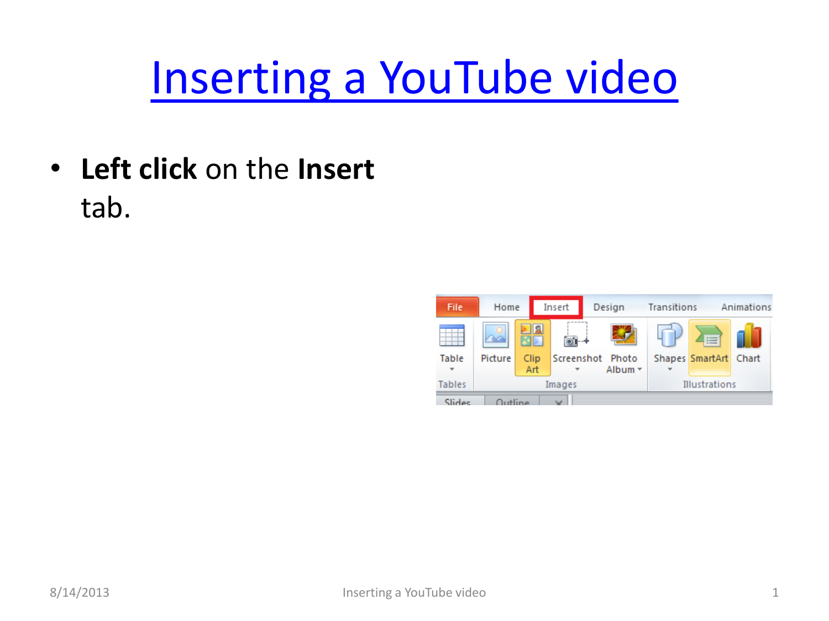## [Inserting a YouTube video](#page-1-0)

• **Left click** on the **Insert** tab.

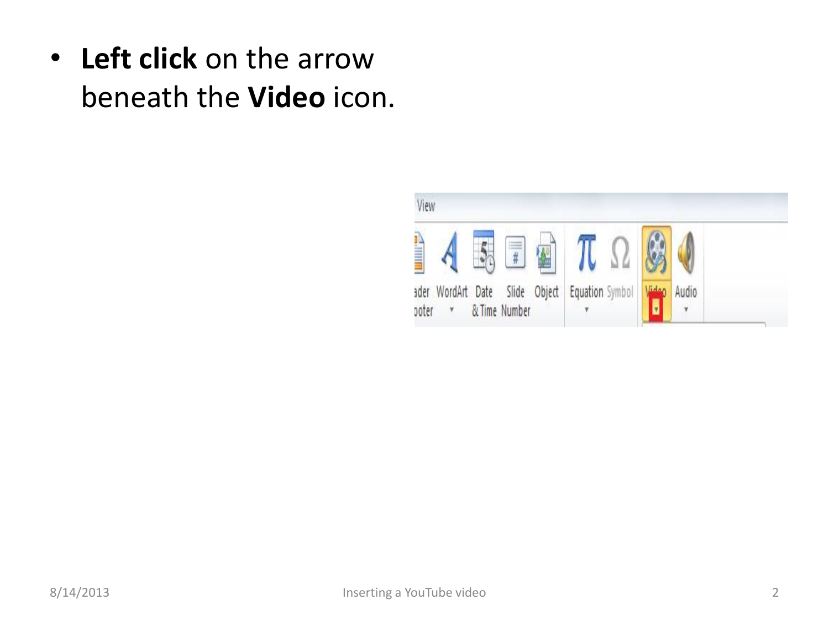<span id="page-1-0"></span>• **Left click** on the arrow beneath the **Video** icon.

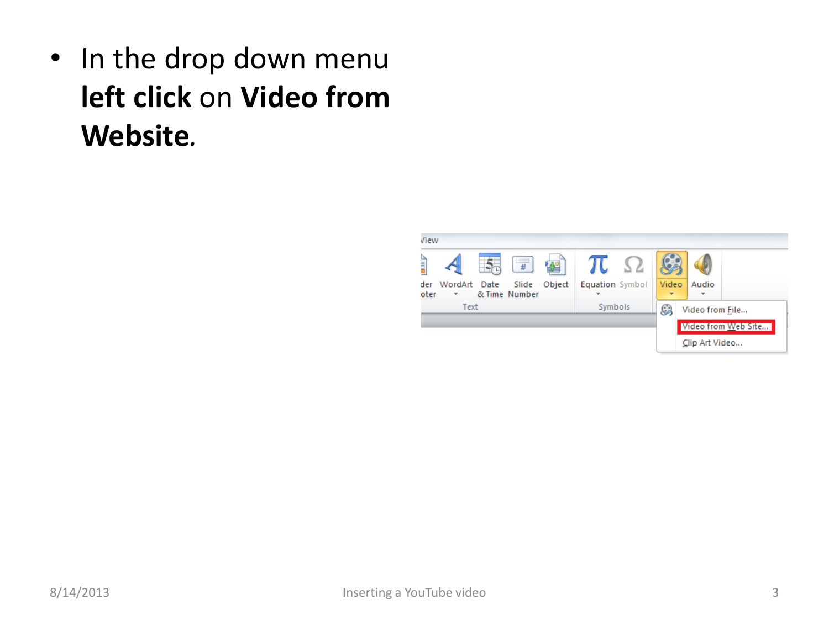• In the drop down menu **left click** on **Video from Website***.*

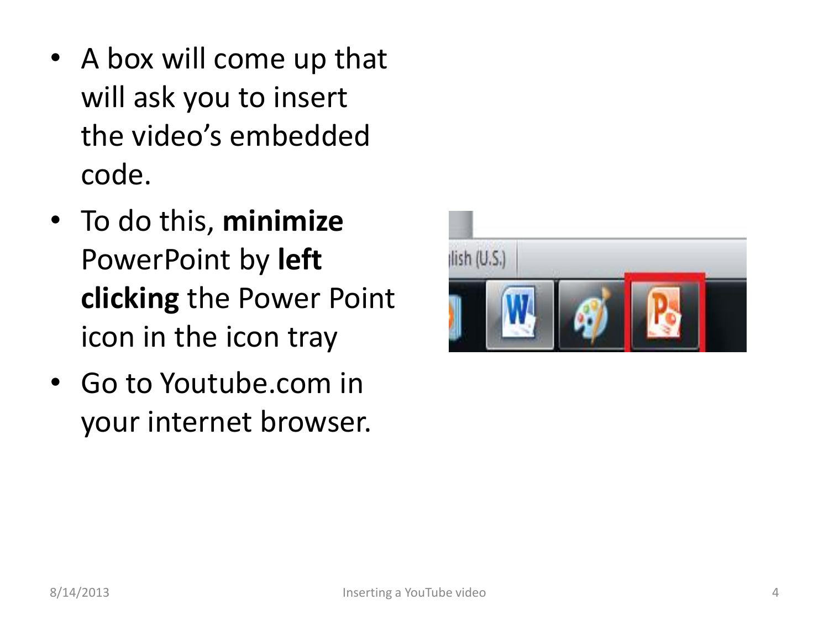- A box will come up that will ask you to insert the video's embedded code.
- To do this, **minimize** PowerPoint by **left clicking** the Power Point icon in the icon tray
- Go to Youtube.com in your internet browser.

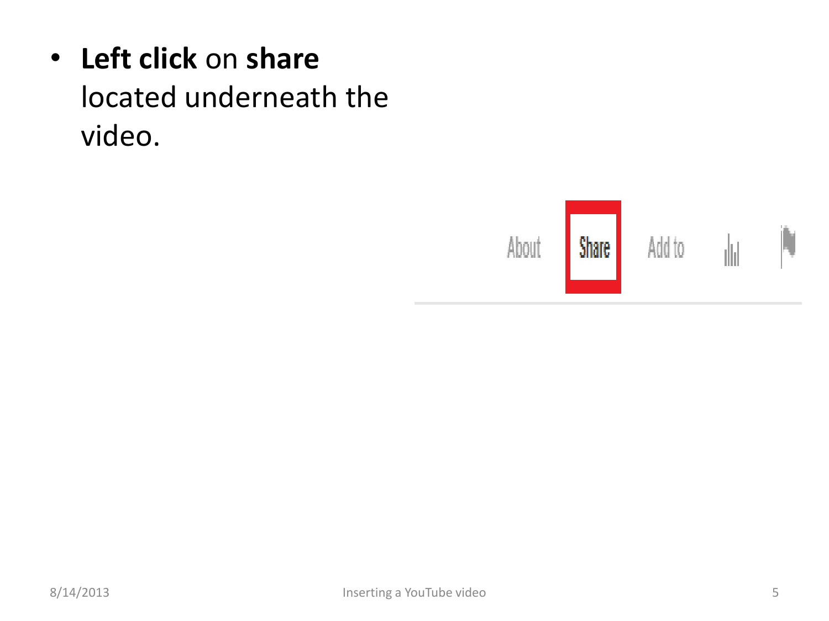## • **Left click** on **share** located underneath the video.

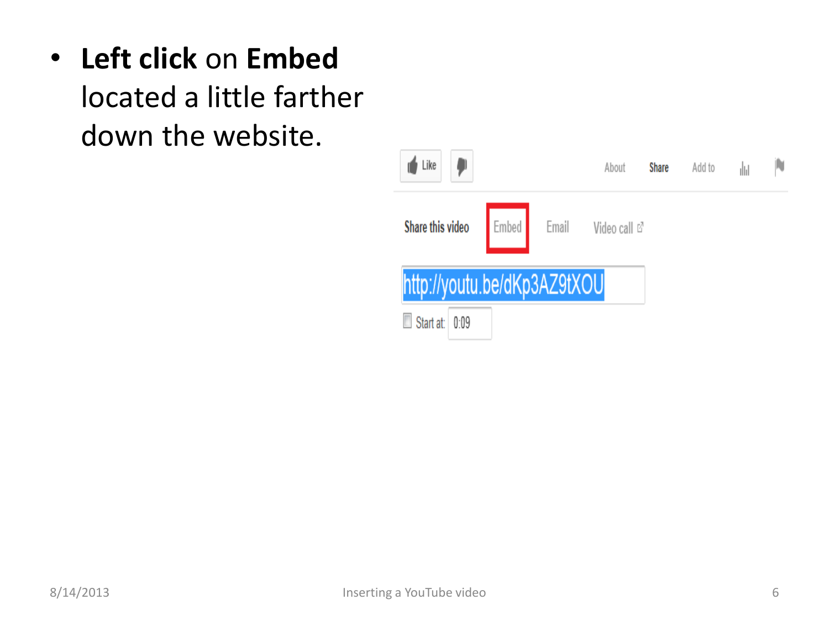• **Left click** on **Embed**

located a little farther down the website.

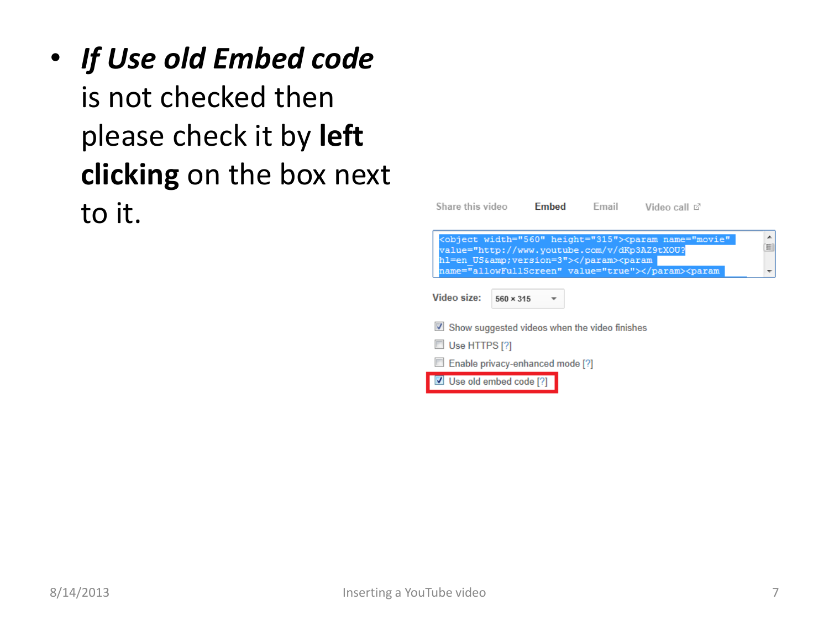• *If Use old Embed code* is not checked then please check it by **left clicking** on the box next to it.

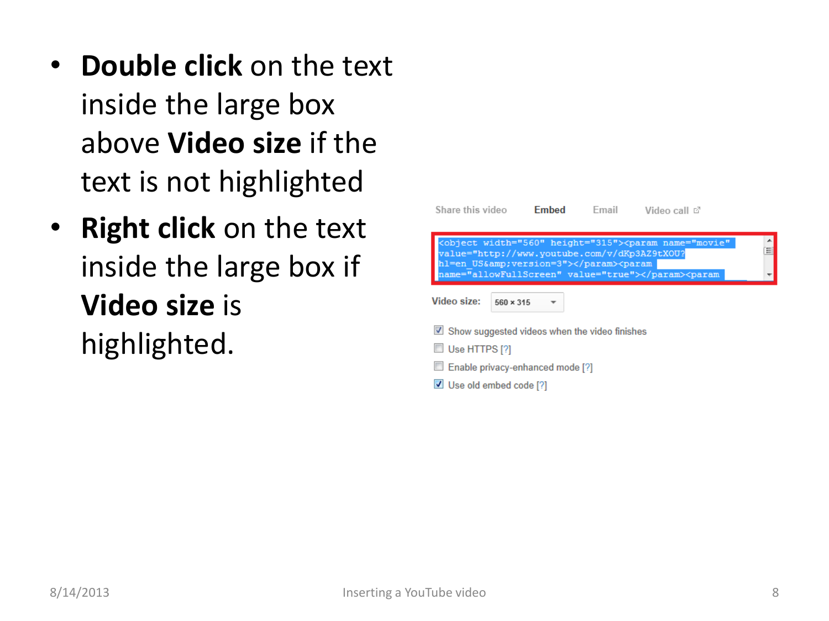- **Double click** on the text inside the large box above **Video size** if the text is not highlighted
- **Right click** on the text inside the large box if **Video size** is highlighted.

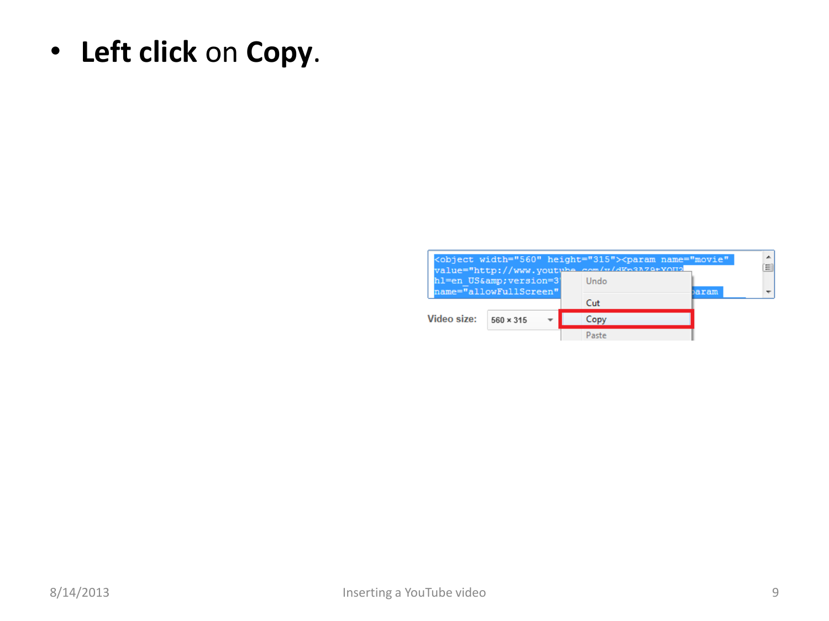• **Left click** on **Copy**.

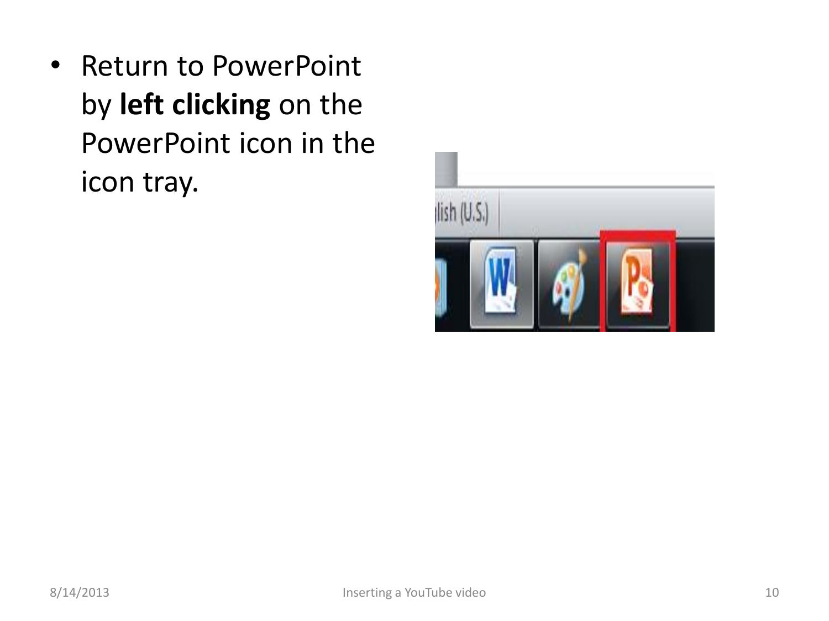• Return to PowerPoint by **left clicking** on the PowerPoint icon in the icon tray.

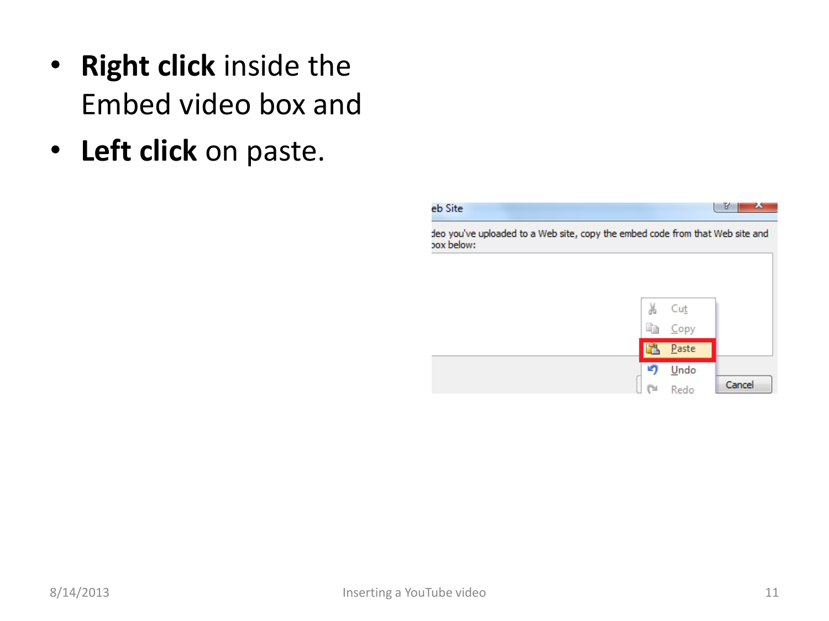- **Right click** inside the Embed video box and
- **Left click** on paste.

## eb Site

 $|V|$ ж,

deo you've uploaded to a Web site, copy the embed code from that Web site and pox below:

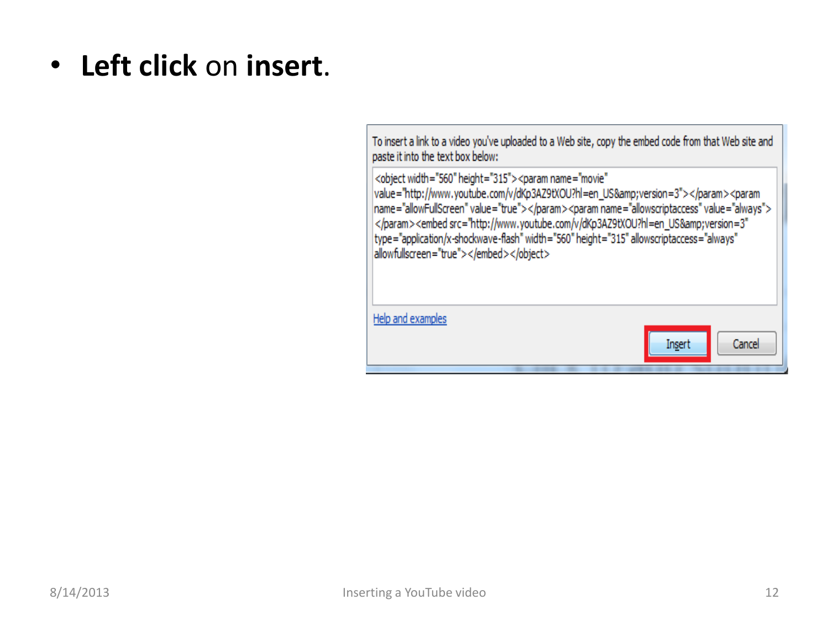• **Left click** on **insert**.

To insert a link to a video you've uploaded to a Web site, copy the embed code from that Web site and paste it into the text box below:

<object width="560" height="315"><param name="movie" value="http://www.youtube.com/v/dKp3AZ9tXOU?hl=en\_US&version=3"></param><param name="allowFullScreen" value="true"></param><param name="allowscriptaccess" value="always"> </param><embed src="http://www.youtube.com/v/dKp3AZ9tXOU?hl=en\_US&amp;version=3" type="application/x-shockwave-flash" width="560" height="315" allowscriptaccess="always" allowfullscreen="true"></embed></object>

Help and examples Cancel Insert